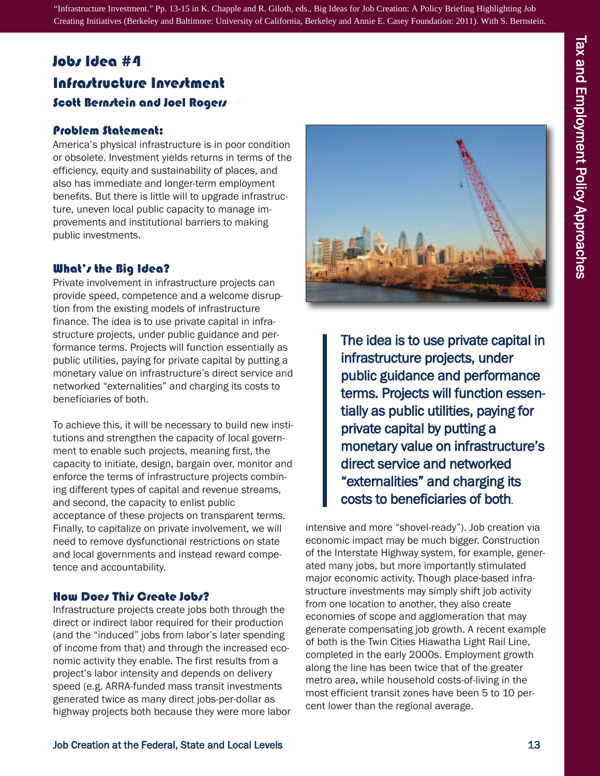"Infrastructure Investment." Pp. 13-15 in K. Chapple and R. Giloth, eds., Big Ideas for Job Creation: A Policy Briefing Highlighting Job Creating Initiatives (Berkeley and Baltimore: University of California, Berkeley and Annie E. Casey Foundation: 2011). With S. Bernstein.

# Jobs idea #4 infrastructure investment Scott Bernstein and Joel Rogers

#### Problem statement:

America's physical infrastructure is in poor condition or obsolete. Investment yields returns in terms of the efficiency, equity and sustainability of places, and also has immediate and longer-term employment benefits. But there is little will to upgrade infrastructure, uneven local public capacity to manage improvements and institutional barriers to making public investments.

#### What's the Big idea?

Private involvement in infrastructure projects can provide speed, competence and a welcome disruption from the existing models of infrastructure finance. The idea is to use private capital in infrastructure projects, under public guidance and performance terms. Projects will function essentially as public utilities, paying for private capital by putting a monetary value on infrastructure's direct service and networked "externalities" and charging its costs to beneficiaries of both.

To achieve this, it will be necessary to build new institutions and strengthen the capacity of local government to enable such projects, meaning first, the capacity to initiate, design, bargain over, monitor and enforce the terms of infrastructure projects combining different types of capital and revenue streams, and second, the capacity to enlist public acceptance of these projects on transparent terms. Finally, to capitalize on private involvement, we will need to remove dysfunctional restrictions on state and local governments and instead reward competence and accountability.

#### How Does This Create Jobs?

Infrastructure projects create jobs both through the direct or indirect labor required for their production (and the "induced" jobs from labor's later spending of income from that) and through the increased economic activity they enable. The first results from a project's labor intensity and depends on delivery speed (e.g. ARRA-funded mass transit investments generated twice as many direct jobs-per-dollar as highway projects both because they were more labor



The idea is to use private capital in infrastructure projects, under public guidance and performance terms. Projects will function essentially as public utilities, paying for private capital by putting a monetary value on infrastructure's direct service and networked "externalities" and charging its costs to beneficiaries of both.

intensive and more "shovel-ready"). Job creation via economic impact may be much bigger. Construction of the Interstate Highway system, for example, generated many jobs, but more importantly stimulated major economic activity. Though place-based infrastructure investments may simply shift job activity from one location to another, they also create economies of scope and agglomeration that may generate compensating job growth. A recent example of both is the Twin Cities Hiawatha Light Rail Line, completed in the early 2000s. Employment growth along the line has been twice that of the greater metro area, while household costs-of-living in the most efficient transit zones have been 5 to 10 percent lower than the regional average.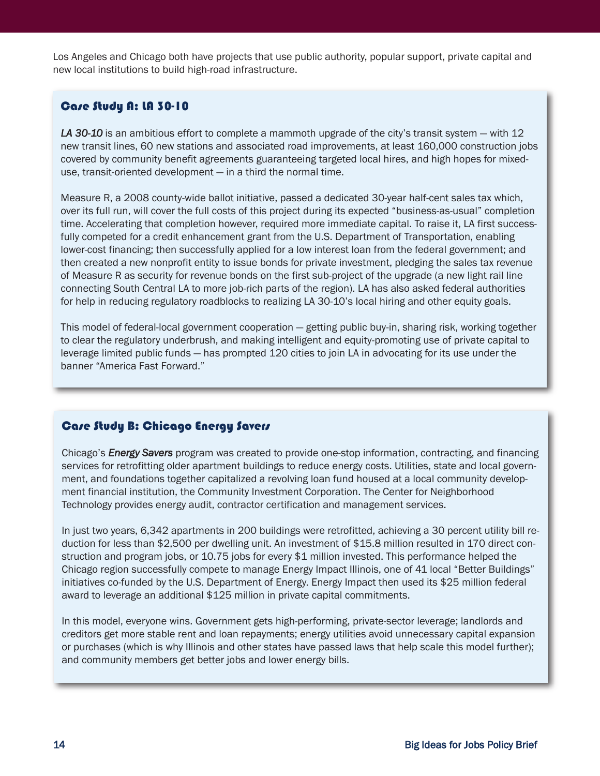Los Angeles and Chicago both have projects that use public authority, popular support, private capital and new local institutions to build high-road infrastructure.

## Case study a: La 30-10

*LA 30-10* is an ambitious effort to complete a mammoth upgrade of the city's transit system — with 12 new transit lines, 60 new stations and associated road improvements, at least 160,000 construction jobs covered by community benefit agreements guaranteeing targeted local hires, and high hopes for mixeduse, transit-oriented development — in a third the normal time.

Measure R, a 2008 county-wide ballot initiative, passed a dedicated 30-year half-cent sales tax which, over its full run, will cover the full costs of this project during its expected "business-as-usual" completion time. Accelerating that completion however, required more immediate capital. To raise it, LA first successfully competed for a credit enhancement grant from the U.S. Department of Transportation, enabling lower-cost financing; then successfully applied for a low interest loan from the federal government; and then created a new nonprofit entity to issue bonds for private investment, pledging the sales tax revenue of Measure R as security for revenue bonds on the first sub-project of the upgrade (a new light rail line connecting South Central LA to more job-rich parts of the region). LA has also asked federal authorities for help in reducing regulatory roadblocks to realizing LA 30-10's local hiring and other equity goals.

This model of federal-local government cooperation — getting public buy-in, sharing risk, working together to clear the regulatory underbrush, and making intelligent and equity-promoting use of private capital to leverage limited public funds — has prompted 120 cities to join LA in advocating for its use under the banner "America Fast Forward."

## Case Study B: Chicago Energy Savers

Chicago's *Energy Savers* program was created to provide one-stop information, contracting, and financing services for retrofitting older apartment buildings to reduce energy costs. Utilities, state and local government, and foundations together capitalized a revolving loan fund housed at a local community development financial institution, the Community Investment Corporation. The Center for Neighborhood Technology provides energy audit, contractor certification and management services.

In just two years, 6,342 apartments in 200 buildings were retrofitted, achieving a 30 percent utility bill reduction for less than \$2,500 per dwelling unit. An investment of \$15.8 million resulted in 170 direct construction and program jobs, or 10.75 jobs for every \$1 million invested. This performance helped the Chicago region successfully compete to manage Energy Impact Illinois, one of 41 local "Better Buildings" initiatives co-funded by the U.S. Department of Energy. Energy Impact then used its \$25 million federal award to leverage an additional \$125 million in private capital commitments.

In this model, everyone wins. Government gets high-performing, private-sector leverage; landlords and creditors get more stable rent and loan repayments; energy utilities avoid unnecessary capital expansion or purchases (which is why Illinois and other states have passed laws that help scale this model further); and community members get better jobs and lower energy bills.